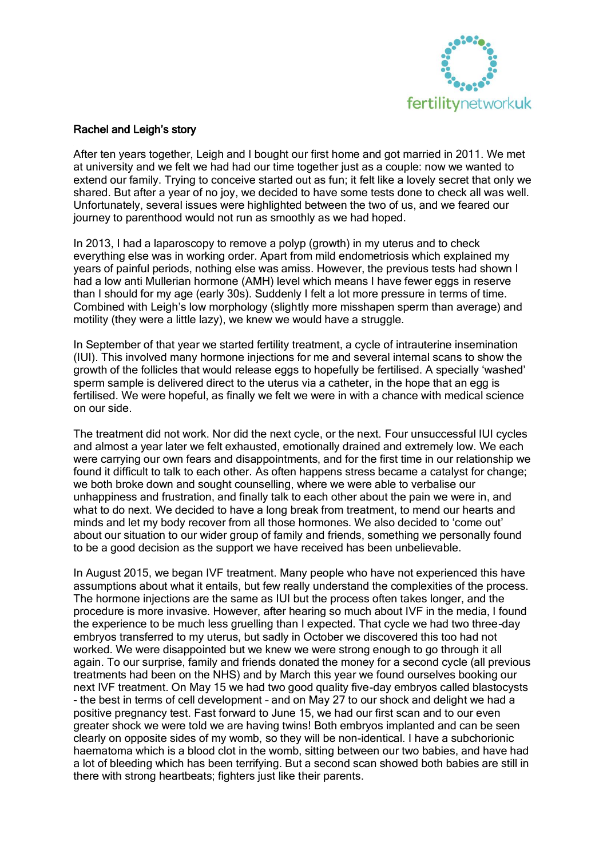

## Rachel and Leigh's story

After ten years together, Leigh and I bought our first home and got married in 2011. We met at university and we felt we had had our time together just as a couple: now we wanted to extend our family. Trying to conceive started out as fun; it felt like a lovely secret that only we shared. But after a year of no joy, we decided to have some tests done to check all was well. Unfortunately, several issues were highlighted between the two of us, and we feared our journey to parenthood would not run as smoothly as we had hoped.

In 2013, I had a laparoscopy to remove a polyp (growth) in my uterus and to check everything else was in working order. Apart from mild endometriosis which explained my years of painful periods, nothing else was amiss. However, the previous tests had shown I had a low anti Mullerian hormone (AMH) level which means I have fewer eggs in reserve than I should for my age (early 30s). Suddenly I felt a lot more pressure in terms of time. Combined with Leigh's low morphology (slightly more misshapen sperm than average) and motility (they were a little lazy), we knew we would have a struggle.

In September of that year we started fertility treatment, a cycle of intrauterine insemination (IUI). This involved many hormone injections for me and several internal scans to show the growth of the follicles that would release eggs to hopefully be fertilised. A specially 'washed' sperm sample is delivered direct to the uterus via a catheter, in the hope that an egg is fertilised. We were hopeful, as finally we felt we were in with a chance with medical science on our side.

The treatment did not work. Nor did the next cycle, or the next. Four unsuccessful IUI cycles and almost a year later we felt exhausted, emotionally drained and extremely low. We each were carrying our own fears and disappointments, and for the first time in our relationship we found it difficult to talk to each other. As often happens stress became a catalyst for change; we both broke down and sought counselling, where we were able to verbalise our unhappiness and frustration, and finally talk to each other about the pain we were in, and what to do next. We decided to have a long break from treatment, to mend our hearts and minds and let my body recover from all those hormones. We also decided to 'come out' about our situation to our wider group of family and friends, something we personally found to be a good decision as the support we have received has been unbelievable.

In August 2015, we began IVF treatment. Many people who have not experienced this have assumptions about what it entails, but few really understand the complexities of the process. The hormone injections are the same as IUI but the process often takes longer, and the procedure is more invasive. However, after hearing so much about IVF in the media, I found the experience to be much less gruelling than I expected. That cycle we had two three-day embryos transferred to my uterus, but sadly in October we discovered this too had not worked. We were disappointed but we knew we were strong enough to go through it all again. To our surprise, family and friends donated the money for a second cycle (all previous treatments had been on the NHS) and by March this year we found ourselves booking our next IVF treatment. On May 15 we had two good quality five-day embryos called blastocysts - the best in terms of cell development – and on May 27 to our shock and delight we had a positive pregnancy test. Fast forward to June 15, we had our first scan and to our even greater shock we were told we are having twins! Both embryos implanted and can be seen clearly on opposite sides of my womb, so they will be non-identical. I have a subchorionic haematoma which is a blood clot in the womb, sitting between our two babies, and have had a lot of bleeding which has been terrifying. But a second scan showed both babies are still in there with strong heartbeats; fighters just like their parents.